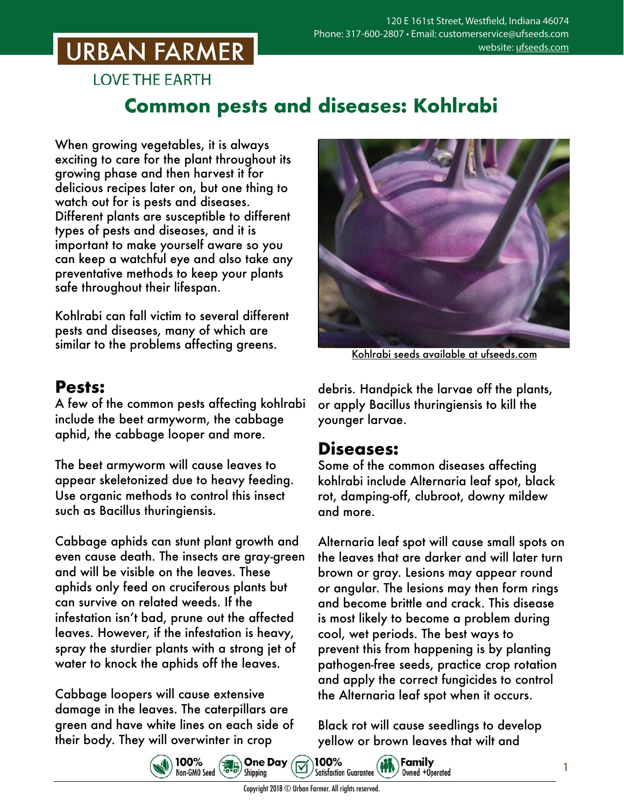# **URBAN FARMER**

**LOVE THE EARTH** 

### **Common pests and diseases: Kohlrabi**

When growing vegetables, it is always exciting to care for the plant throughout its growing phase and then harvest it for delicious recipes later on, but one thing to watch out for is pests and diseases. Different plants are susceptible to different types of pests and diseases, and it is important to make yourself aware so you can keep a watchful eye and also take any preventative methods to keep your plants safe throughout their lifespan.

Kohlrabi can fall victim to several different pests and diseases, many of which are similar to the problems affecting greens.

#### **Pests:**

A few of the common pests affecting kohlrabi include the beet armyworm, the cabbage aphid, the cabbage looper and more.

The beet armyworm will cause leaves to appear skeletonized due to heavy feeding. Use organic methods to control this insect such as Bacillus thuringiensis.

Cabbage aphids can stunt plant growth and even cause death. The insects are gray-green and will be visible on the leaves. These aphids only feed on cruciferous plants but can survive on related weeds. If the infestation isn't bad, prune out the affected leaves. However, if the infestation is heavy, spray the sturdier plants with a strong jet of water to knock the aphids off the leaves.

Cabbage loopers will cause extensive damage in the leaves. The caterpillars are green and have white lines on each side of their body. They will overwinter in crop



Kohlrabi seeds [available at ufseeds.com](https://www.ufseeds.com/product-category/vegetables/kohlrabi/)

debris. Handpick the larvae off the plants, or apply Bacillus thuringiensis to kill the younger larvae.

#### **Diseases:**

Some of the common diseases affecting kohlrabi include Alternaria leaf spot, black rot, damping-off, clubroot, downy mildew and more.

Alternaria leaf spot will cause small spots on the leaves that are darker and will later turn brown or gray. Lesions may appear round or angular. The lesions may then form rings and become brittle and crack. This disease is most likely to become a problem during cool, wet periods. The best ways to prevent this from happening is by planting pathogen-free seeds, practice crop rotation and apply the correct fungicides to control the Alternaria leaf spot when it occurs.

Black rot will cause seedlings to develop yellow or brown leaves that wilt and

1



**Family Satisfaction Guarantee** Owned +Operated

100%